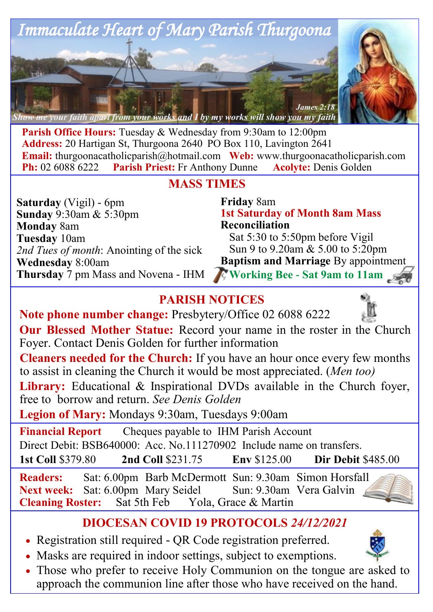

**Parish Office Hours:** Tuesday & Wednesday from 9:30am to 12:00pm **Address:** 20 Hartigan St, Thurgoona 2640 PO Box 110, Lavington 2641 **Email:** thurgoonacatholicparish@hotmail.com Web: www.thurgoonacatholicparish.com<br> **Ph:** 02 6088 6222 Parish Priest: Fr Anthony Dunne Acolyte: Denis Golden **Parish Priest:** Fr Anthony Dunne **Acolyte:** Denis Golden

# **MASS TIMES**

**Saturday** (Vigil) - 6pm **Sunday** 9:30am & 5:30pm **Monday** 8am **Tuesday** 10am *2nd Tues of month*: Anointing of the sick **Wednesday** 8:00am **Thursday** 7 pm Mass and Novena - IHM

**Friday** 8am **1st Saturday of Month 8am Mass Reconciliation**  Sat 5:30 to 5:50pm before Vigil Sun 9 to 9.20am & 5.00 to 5:20pm **Baptism and Marriage** By appointment  **Working Bee - Sat 9am to 11am**

# **PARISH NOTICES**

**Note phone number change:** Presbytery/Office 02 6088 6222



**Cleaners needed for the Church:** If you have an hour once every few months to assist in cleaning the Church it would be most appreciated. (*Men too)*

**Library:** Educational & Inspirational DVDs available in the Church foyer, free to borrow and return. *See Denis Golden* 

**Legion of Mary:** Mondays 9:30am, Tuesdays 9:00am

**Financial Report** Cheques payable to IHM Parish Account Direct Debit: BSB640000: Acc. No.111270902 Include name on transfers. **1st Coll** \$379.80 **2nd Coll** \$231.75 **Env** \$125.00 **Dir Debit** \$485.00

**Readers:** Sat: 6.00pm Barb McDermott Sun: 9.30am Simon Horsfall Next week: Sat: 6.00pm Mary Seidel Sun: 9.30am Vera Galvin **Cleaning Roster:** Sat 5th Feb Yola, Grace & Martin

# **DIOCESAN COVID 19 PROTOCOLS** *24/12/2021*

- Registration still required QR Code registration preferred.
- Masks are required in indoor settings, subject to exemptions.
- Those who prefer to receive Holy Communion on the tongue are asked to approach the communion line after those who have received on the hand.

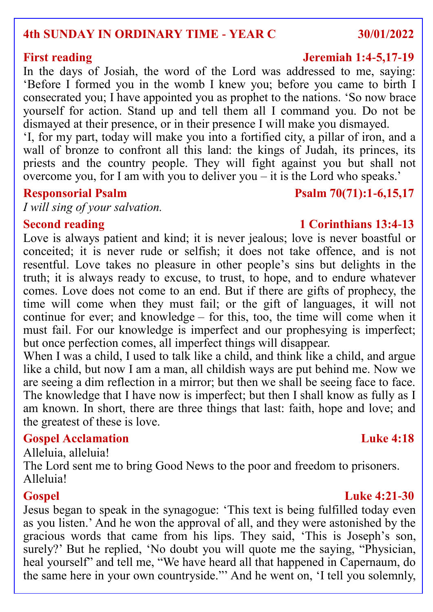## **4th SUNDAY IN ORDINARY TIME - YEAR C 30/01/2022**

In the days of Josiah, the word of the Lord was addressed to me, saying: 'Before I formed you in the womb I knew you; before you came to birth I consecrated you; I have appointed you as prophet to the nations. 'So now brace yourself for action. Stand up and tell them all I command you. Do not be dismayed at their presence, or in their presence I will make you dismayed.

'I, for my part, today will make you into a fortified city, a pillar of iron, and a wall of bronze to confront all this land: the kings of Judah, its princes, its priests and the country people. They will fight against you but shall not overcome you, for I am with you to deliver you – it is the Lord who speaks.'

*I will sing of your salvation.*

Love is always patient and kind; it is never jealous; love is never boastful or conceited; it is never rude or selfish; it does not take offence, and is not resentful. Love takes no pleasure in other people's sins but delights in the truth; it is always ready to excuse, to trust, to hope, and to endure whatever comes. Love does not come to an end. But if there are gifts of prophecy, the time will come when they must fail; or the gift of languages, it will not continue for ever; and knowledge – for this, too, the time will come when it must fail. For our knowledge is imperfect and our prophesying is imperfect; but once perfection comes, all imperfect things will disappear.

When I was a child, I used to talk like a child, and think like a child, and argue like a child, but now I am a man, all childish ways are put behind me. Now we are seeing a dim reflection in a mirror; but then we shall be seeing face to face. The knowledge that I have now is imperfect; but then I shall know as fully as I am known. In short, there are three things that last: faith, hope and love; and the greatest of these is love.

### **Gospel Acclamation Luke 4:18**

Alleluia, alleluia!

The Lord sent me to bring Good News to the poor and freedom to prisoners. Alleluia!

### **Gospel Luke 4:21-30**

Jesus began to speak in the synagogue: 'This text is being fulfilled today even as you listen.' And he won the approval of all, and they were astonished by the gracious words that came from his lips. They said, 'This is Joseph's son. surely?' But he replied, 'No doubt you will quote me the saying, "Physician, heal yourself" and tell me, "We have heard all that happened in Capernaum, do the same here in your own countryside."' And he went on, 'I tell you solemnly,

# **Responsorial Psalm Psalm 70(71):1-6,15,17**

### **Second reading 1 Corinthians 13:4-13**

## **First reading Jeremiah 1:4-5,17-19**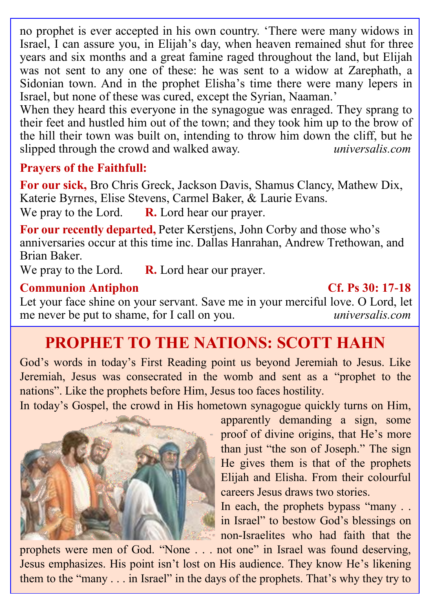no prophet is ever accepted in his own country. 'There were many widows in Israel, I can assure you, in Elijah's day, when heaven remained shut for three years and six months and a great famine raged throughout the land, but Elijah was not sent to any one of these: he was sent to a widow at Zarephath, a Sidonian town. And in the prophet Elisha's time there were many lepers in Israel, but none of these was cured, except the Syrian, Naaman.'

When they heard this everyone in the synagogue was enraged. They sprang to their feet and hustled him out of the town; and they took him up to the brow of the hill their town was built on, intending to throw him down the cliff, but he slipped through the crowd and walked away. *universalis.com*

## **Prayers of the Faithfull:**

**For our sick,** Bro Chris Greck, Jackson Davis, Shamus Clancy, Mathew Dix, Katerie Byrnes, Elise Stevens, Carmel Baker, & Laurie Evans. We pray to the Lord. **R.** Lord hear our prayer.

**For our recently departed,** Peter Kerstjens, John Corby and those who's anniversaries occur at this time inc. Dallas Hanrahan, Andrew Trethowan, and Brian Baker.

We pray to the Lord. **R.** Lord hear our prayer.

### **Communion Antiphon Cf. Ps 30: 17-18**

Let your face shine on your servant. Save me in your merciful love. O Lord, let me never be put to shame, for I call on you. *universalis.com*

# **PROPHET TO THE NATIONS: SCOTT HAHN**

God's words in today's First Reading point us beyond Jeremiah to Jesus. Like Jeremiah, Jesus was consecrated in the womb and sent as a "prophet to the nations". Like the prophets before Him, Jesus too faces hostility.

In today's Gospel, the crowd in His hometown synagogue quickly turns on Him,



apparently demanding a sign, some proof of divine origins, that He's more than just "the son of Joseph." The sign He gives them is that of the prophets Elijah and Elisha. From their colourful careers Jesus draws two stories.

In each, the prophets bypass "many . . in Israel" to bestow God's blessings on non-Israelites who had faith that the

prophets were men of God. "None . . . not one" in Israel was found deserving, Jesus emphasizes. His point isn't lost on His audience. They know He's likening them to the "many . . . in Israel" in the days of the prophets. That's why they try to